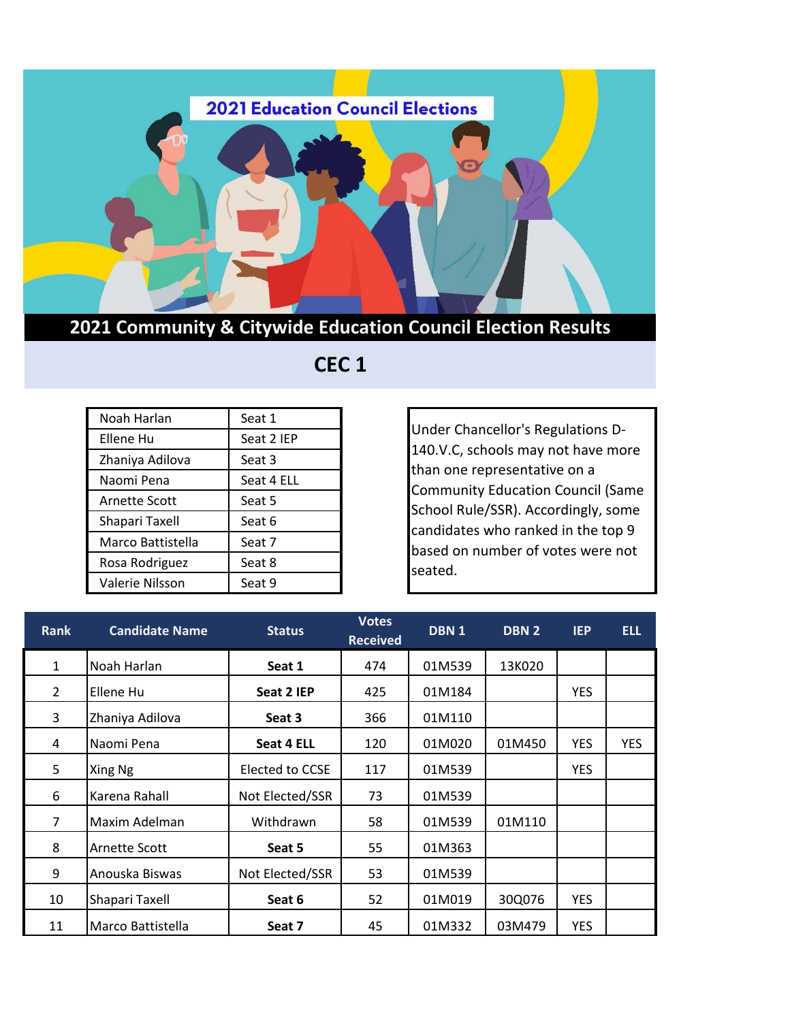

## **2021 Community & Citywide Education Council Election Results**

## **CEC 1**

| Noah Harlan          | Seat 1     |
|----------------------|------------|
| Ellene Hu            | Seat 2 IEP |
| Zhaniya Adilova      | Seat 3     |
| Naomi Pena           | Seat 4 ELL |
| <b>Arnette Scott</b> | Seat 5     |
| Shapari Taxell       | Seat 6     |
| Marco Battistella    | Seat 7     |
| Rosa Rodriguez       | Seat 8     |
| Valerie Nilsson      | Seat 9     |

Under Chancellor's Regulations D-140.V.C, schools may not have more than one representative on a Community Education Council (Same School Rule/SSR). Accordingly, some candidates who ranked in the top 9 based on number of votes were not seated.

| <b>Rank</b>    | <b>Candidate Name</b> | <b>Status</b>   | <b>Votes</b><br><b>Received</b> | DBN <sub>1</sub> | DBN <sub>2</sub> | <b>IEP</b> | <b>ELL</b> |
|----------------|-----------------------|-----------------|---------------------------------|------------------|------------------|------------|------------|
| $\mathbf{1}$   | Noah Harlan           | Seat 1          | 474                             | 01M539           | 13K020           |            |            |
| $\overline{2}$ | Ellene Hu             | Seat 2 IEP      | 425                             | 01M184           |                  | <b>YES</b> |            |
| 3              | Zhaniya Adilova       | Seat 3          | 366                             | 01M110           |                  |            |            |
| 4              | Naomi Pena            | Seat 4 ELL      | 120                             | 01M020           | 01M450           | <b>YES</b> | <b>YES</b> |
| 5              | Xing Ng               | Elected to CCSE | 117                             | 01M539           |                  | <b>YES</b> |            |
| 6              | Karena Rahall         | Not Elected/SSR | 73                              | 01M539           |                  |            |            |
| $\overline{7}$ | Maxim Adelman         | Withdrawn       | 58                              | 01M539           | 01M110           |            |            |
| 8              | Arnette Scott         | Seat 5          | 55                              | 01M363           |                  |            |            |
| 9              | Anouska Biswas        | Not Elected/SSR | 53                              | 01M539           |                  |            |            |
| 10             | Shapari Taxell        | Seat 6          | 52                              | 01M019           | 30Q076           | <b>YES</b> |            |
| 11             | Marco Battistella     | Seat 7          | 45                              | 01M332           | 03M479           | <b>YES</b> |            |